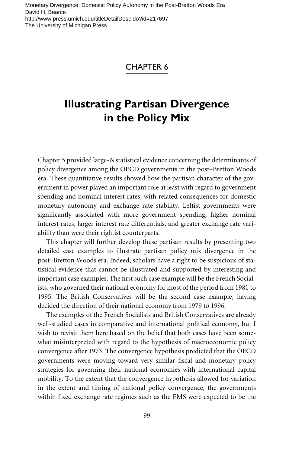# CHAPTER 6

# **Illustrating Partisan Divergence in the Policy Mix**

Chapter 5 provided large-*N* statistical evidence concerning the determinants of policy divergence among the OECD governments in the post–Bretton Woods era. These quantitative results showed how the partisan character of the government in power played an important role at least with regard to government spending and nominal interest rates, with related consequences for domestic monetary autonomy and exchange rate stability. Leftist governments were significantly associated with more government spending, higher nominal interest rates, larger interest rate differentials, and greater exchange rate variability than were their rightist counterparts.

This chapter will further develop these partisan results by presenting two detailed case examples to illustrate partisan policy mix divergence in the post–Bretton Woods era. Indeed, scholars have a right to be suspicious of statistical evidence that cannot be illustrated and supported by interesting and important case examples. The first such case example will be the French Socialists, who governed their national economy for most of the period from 1981 to 1995. The British Conservatives will be the second case example, having decided the direction of their national economy from 1979 to 1996.

The examples of the French Socialists and British Conservatives are already well-studied cases in comparative and international political economy, but I wish to revisit them here based on the belief that both cases have been somewhat misinterpreted with regard to the hypothesis of macroeconomic policy convergence after 1973. The convergence hypothesis predicted that the OECD governments were moving toward very similar fiscal and monetary policy strategies for governing their national economies with international capital mobility. To the extent that the convergence hypothesis allowed for variation in the extent and timing of national policy convergence, the governments within fixed exchange rate regimes such as the EMS were expected to be the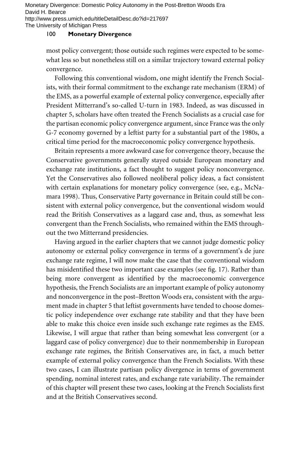# 100 **Monetary Divergence**

most policy convergent; those outside such regimes were expected to be somewhat less so but nonetheless still on a similar trajectory toward external policy convergence.

Following this conventional wisdom, one might identify the French Socialists, with their formal commitment to the exchange rate mechanism (ERM) of the EMS, as a powerful example of external policy convergence, especially after President Mitterrand's so-called U-turn in 1983. Indeed, as was discussed in chapter 5, scholars have often treated the French Socialists as a crucial case for the partisan economic policy convergence argument, since France was the only G-7 economy governed by a leftist party for a substantial part of the 1980s, a critical time period for the macroeconomic policy convergence hypothesis.

Britain represents a more awkward case for convergence theory, because the Conservative governments generally stayed outside European monetary and exchange rate institutions, a fact thought to suggest policy nonconvergence. Yet the Conservatives also followed neoliberal policy ideas, a fact consistent with certain explanations for monetary policy convergence (see, e.g., McNamara 1998). Thus, Conservative Party governance in Britain could still be consistent with external policy convergence, but the conventional wisdom would read the British Conservatives as a laggard case and, thus, as somewhat less convergent than the French Socialists, who remained within the EMS throughout the two Mitterrand presidencies.

Having argued in the earlier chapters that we cannot judge domestic policy autonomy or external policy convergence in terms of a government's de jure exchange rate regime, I will now make the case that the conventional wisdom has misidentified these two important case examples (see fig. 17). Rather than being more convergent as identified by the macroeconomic convergence hypothesis, the French Socialists are an important example of policy autonomy and nonconvergence in the post–Bretton Woods era, consistent with the argument made in chapter 5 that leftist governments have tended to choose domestic policy independence over exchange rate stability and that they have been able to make this choice even inside such exchange rate regimes as the EMS. Likewise, I will argue that rather than being somewhat less convergent (or a laggard case of policy convergence) due to their nonmembership in European exchange rate regimes, the British Conservatives are, in fact, a much better example of external policy convergence than the French Socialists. With these two cases, I can illustrate partisan policy divergence in terms of government spending, nominal interest rates, and exchange rate variability. The remainder of this chapter will present these two cases, looking at the French Socialists first and at the British Conservatives second.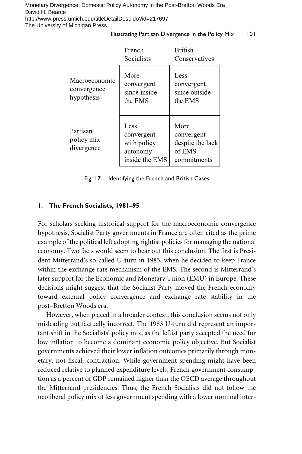|                                            | French<br>Socialists                                            | <b>British</b><br>Conservatives                                 |
|--------------------------------------------|-----------------------------------------------------------------|-----------------------------------------------------------------|
| Macroeconomic<br>convergence<br>hypothesis | More<br>convergent<br>since inside<br>the EMS                   | Less<br>convergent<br>since outside<br>the EMS                  |
| Partisan<br>policy mix<br>divergence       | Less<br>convergent<br>with policy<br>autonomy<br>inside the EMS | More<br>convergent<br>despite the lack<br>of EMS<br>commitments |

Fig. 17. Identifying the French and British Cases

## **1. The French Socialists, 1981–95**

For scholars seeking historical support for the macroeconomic convergence hypothesis, Socialist Party governments in France are often cited as the prime example of the political left adopting rightist policies for managing the national economy. Two facts would seem to bear out this conclusion. The first is President Mitterrand's so-called U-turn in 1983, when he decided to keep France within the exchange rate mechanism of the EMS. The second is Mitterrand's later support for the Economic and Monetary Union (EMU) in Europe. These decisions might suggest that the Socialist Party moved the French economy toward external policy convergence and exchange rate stability in the post–Bretton Woods era.

However, when placed in a broader context, this conclusion seems not only misleading but factually incorrect. The 1983 U-turn did represent an important shift in the Socialists' policy mix, as the leftist party accepted the need for low inflation to become a dominant economic policy objective. But Socialist governments achieved their lower inflation outcomes primarily through monetary, not fiscal, contraction. While government spending might have been reduced relative to planned expenditure levels, French government consumption as a percent of GDP remained higher than the OECD average throughout the Mitterrand presidencies. Thus, the French Socialists did not follow the neoliberal policy mix of less government spending with a lower nominal inter-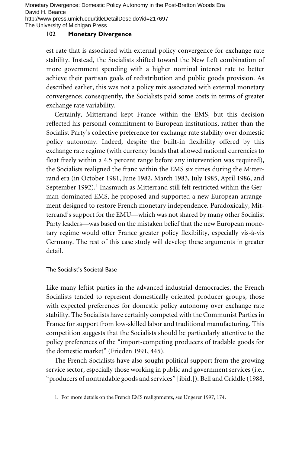# 102 **Monetary Divergence**

est rate that is associated with external policy convergence for exchange rate stability. Instead, the Socialists shifted toward the New Left combination of more government spending with a higher nominal interest rate to better achieve their partisan goals of redistribution and public goods provision. As described earlier, this was not a policy mix associated with external monetary convergence; consequently, the Socialists paid some costs in terms of greater exchange rate variability.

Certainly, Mitterrand kept France within the EMS, but this decision reflected his personal commitment to European institutions, rather than the Socialist Party's collective preference for exchange rate stability over domestic policy autonomy. Indeed, despite the built-in flexibility offered by this exchange rate regime (with currency bands that allowed national currencies to float freely within a 4.5 percent range before any intervention was required), the Socialists realigned the franc within the EMS six times during the Mitterrand era (in October 1981, June 1982, March 1983, July 1985, April 1986, and September 1992).<sup>1</sup> Inasmuch as Mitterrand still felt restricted within the German-dominated EMS, he proposed and supported a new European arrangement designed to restore French monetary independence. Paradoxically, Mitterrand's support for the EMU—which was not shared by many other Socialist Party leaders—was based on the mistaken belief that the new European monetary regime would offer France greater policy flexibility, especially vis-à-vis Germany. The rest of this case study will develop these arguments in greater detail.

## The Socialist's Societal Base

Like many leftist parties in the advanced industrial democracies, the French Socialists tended to represent domestically oriented producer groups, those with expected preferences for domestic policy autonomy over exchange rate stability. The Socialists have certainly competed with the Communist Parties in France for support from low-skilled labor and traditional manufacturing. This competition suggests that the Socialists should be particularly attentive to the policy preferences of the "import-competing producers of tradable goods for the domestic market" (Frieden 1991, 445).

The French Socialists have also sought political support from the growing service sector, especially those working in public and government services (i.e., "producers of nontradable goods and services" [ibid.]). Bell and Criddle (1988,

<sup>1.</sup> For more details on the French EMS realignments, see Ungerer 1997, 174.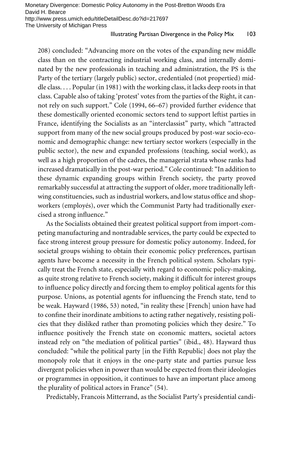208) concluded: "Advancing more on the votes of the expanding new middle class than on the contracting industrial working class, and internally dominated by the new professionals in teaching and administration, the PS is the Party of the tertiary (largely public) sector, credentialed (not propertied) middle class. . . . Popular (in 1981) with the working class, it lacks deep roots in that class. Capable also of taking 'protest' votes from the parties of the Right, it cannot rely on such support." Cole (1994, 66–67) provided further evidence that these domestically oriented economic sectors tend to support leftist parties in France, identifying the Socialists as an "interclassist" party, which "attracted support from many of the new social groups produced by post-war socio-economic and demographic change: new tertiary sector workers (especially in the public sector), the new and expanded professions (teaching, social work), as well as a high proportion of the cadres, the managerial strata whose ranks had increased dramatically in the post-war period." Cole continued: "In addition to these dynamic expanding groups within French society, the party proved remarkably successful at attracting the support of older, more traditionally leftwing constituencies, such as industrial workers, and low status office and shopworkers (employés), over which the Communist Party had traditionally exercised a strong influence."

As the Socialists obtained their greatest political support from import-competing manufacturing and nontradable services, the party could be expected to face strong interest group pressure for domestic policy autonomy. Indeed, for societal groups wishing to obtain their economic policy preferences, partisan agents have become a necessity in the French political system. Scholars typically treat the French state, especially with regard to economic policy-making, as quite strong relative to French society, making it difficult for interest groups to influence policy directly and forcing them to employ political agents for this purpose. Unions, as potential agents for influencing the French state, tend to be weak. Hayward (1986, 53) noted, "in reality these [French] union have had to confine their inordinate ambitions to acting rather negatively, resisting policies that they disliked rather than promoting policies which they desire." To influence positively the French state on economic matters, societal actors instead rely on "the mediation of political parties" (ibid., 48). Hayward thus concluded: "while the political party [in the Fifth Republic] does not play the monopoly role that it enjoys in the one-party state and parties pursue less divergent policies when in power than would be expected from their ideologies or programmes in opposition, it continues to have an important place among the plurality of political actors in France" (54).

Predictably, Francois Mitterrand, as the Socialist Party's presidential candi-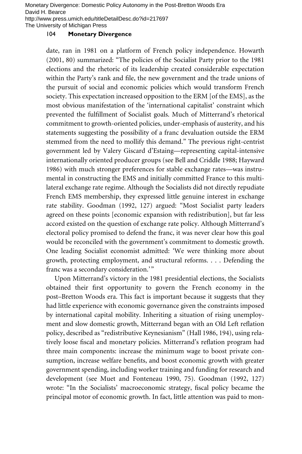# 104 **Monetary Divergence**

date, ran in 1981 on a platform of French policy independence. Howarth (2001, 80) summarized: "The policies of the Socialist Party prior to the 1981 elections and the rhetoric of its leadership created considerable expectation within the Party's rank and file, the new government and the trade unions of the pursuit of social and economic policies which would transform French society. This expectation increased opposition to the ERM [of the EMS], as the most obvious manifestation of the 'international capitalist' constraint which prevented the fulfillment of Socialist goals. Much of Mitterrand's rhetorical commitment to growth-oriented policies, under-emphasis of austerity, and his statements suggesting the possibility of a franc devaluation outside the ERM stemmed from the need to mollify this demand." The previous right-centrist government led by Valery Giscard d'Estaing—representing capital-intensive internationally oriented producer groups (see Bell and Criddle 1988; Hayward 1986) with much stronger preferences for stable exchange rates—was instrumental in constructing the EMS and initially committed France to this multilateral exchange rate regime. Although the Socialists did not directly repudiate French EMS membership, they expressed little genuine interest in exchange rate stability. Goodman (1992, 127) argued: "Most Socialist party leaders agreed on these points [economic expansion with redistribution], but far less accord existed on the question of exchange rate policy. Although Mitterrand's electoral policy promised to defend the franc, it was never clear how this goal would be reconciled with the government's commitment to domestic growth. One leading Socialist economist admitted: 'We were thinking more about growth, protecting employment, and structural reforms. . . . Defending the franc was a secondary consideration.'"

Upon Mitterrand's victory in the 1981 presidential elections, the Socialists obtained their first opportunity to govern the French economy in the post–Bretton Woods era. This fact is important because it suggests that they had little experience with economic governance given the constraints imposed by international capital mobility. Inheriting a situation of rising unemployment and slow domestic growth, Mitterrand began with an Old Left reflation policy, described as "redistributive Keynesianism" (Hall 1986, 194), using relatively loose fiscal and monetary policies. Mitterrand's reflation program had three main components: increase the minimum wage to boost private consumption, increase welfare benefits, and boost economic growth with greater government spending, including worker training and funding for research and development (see Muet and Fonteneau 1990, 75). Goodman (1992, 127) wrote: "In the Socialists' macroeconomic strategy, fiscal policy became the principal motor of economic growth. In fact, little attention was paid to mon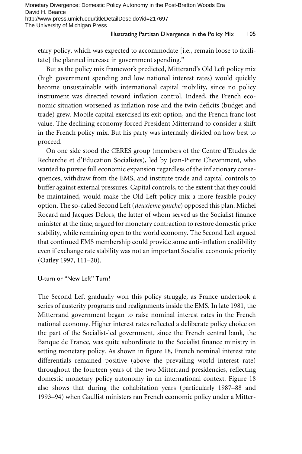etary policy, which was expected to accommodate [i.e., remain loose to facilitate] the planned increase in government spending."

But as the policy mix framework predicted, Mitterand's Old Left policy mix (high government spending and low national interest rates) would quickly become unsustainable with international capital mobility, since no policy instrument was directed toward inflation control. Indeed, the French economic situation worsened as inflation rose and the twin deficits (budget and trade) grew. Mobile capital exercised its exit option, and the French franc lost value. The declining economy forced President Mitterrand to consider a shift in the French policy mix. But his party was internally divided on how best to proceed.

On one side stood the CERES group (members of the Centre d'Etudes de Recherche et d'Education Socialistes), led by Jean-Pierre Chevenment, who wanted to pursue full economic expansion regardless of the inflationary consequences, withdraw from the EMS, and institute trade and capital controls to buffer against external pressures. Capital controls, to the extent that they could be maintained, would make the Old Left policy mix a more feasible policy option. The so-called Second Left (*deuxieme gauche*) opposed this plan. Michel Rocard and Jacques Delors, the latter of whom served as the Socialist finance minister at the time, argued for monetary contraction to restore domestic price stability, while remaining open to the world economy. The Second Left argued that continued EMS membership could provide some anti-inflation credibility even if exchange rate stability was not an important Socialist economic priority (Oatley 1997, 111–20).

## U-turn or "New Left" Turn?

The Second Left gradually won this policy struggle, as France undertook a series of austerity programs and realignments inside the EMS. In late 1981, the Mitterrand government began to raise nominal interest rates in the French national economy. Higher interest rates reflected a deliberate policy choice on the part of the Socialist-led government, since the French central bank, the Banque de France, was quite subordinate to the Socialist finance ministry in setting monetary policy. As shown in figure 18, French nominal interest rate differentials remained positive (above the prevailing world interest rate) throughout the fourteen years of the two Mitterrand presidencies, reflecting domestic monetary policy autonomy in an international context. Figure 18 also shows that during the cohabitation years (particularly 1987–88 and 1993–94) when Gaullist ministers ran French economic policy under a Mitter-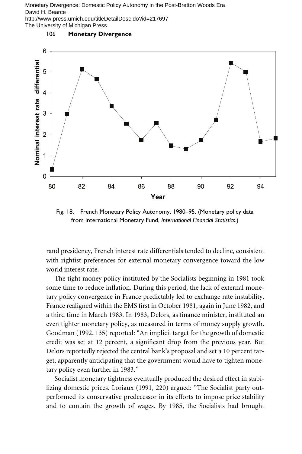

Fig. 18. French Monetary Policy Autonomy, 1980–95. (Monetary policy data from International Monetary Fund, *International Financial Statistics.*)

rand presidency, French interest rate differentials tended to decline, consistent with rightist preferences for external monetary convergence toward the low world interest rate.

The tight money policy instituted by the Socialists beginning in 1981 took some time to reduce inflation. During this period, the lack of external monetary policy convergence in France predictably led to exchange rate instability. France realigned within the EMS first in October 1981, again in June 1982, and a third time in March 1983. In 1983, Delors, as finance minister, instituted an even tighter monetary policy, as measured in terms of money supply growth. Goodman (1992, 135) reported: "An implicit target for the growth of domestic credit was set at 12 percent, a significant drop from the previous year. But Delors reportedly rejected the central bank's proposal and set a 10 percent target, apparently anticipating that the government would have to tighten monetary policy even further in 1983."

Socialist monetary tightness eventually produced the desired effect in stabilizing domestic prices. Loriaux (1991, 220) argued: "The Socialist party outperformed its conservative predecessor in its efforts to impose price stability and to contain the growth of wages. By 1985, the Socialists had brought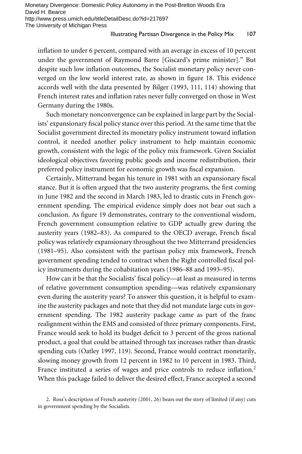inflation to under 6 percent, compared with an average in excess of 10 percent under the government of Raymond Barre [Giscard's prime minister]." But despite such low inflation outcomes, the Socialist monetary policy never converged on the low world interest rate, as shown in figure 18. This evidence accords well with the data presented by Bilger (1993, 111, 114) showing that French interest rates and inflation rates never fully converged on those in West Germany during the 1980s.

Such monetary nonconvergence can be explained in large part by the Socialists' expansionary fiscal policy stance over this period. At the same time that the Socialist government directed its monetary policy instrument toward inflation control, it needed another policy instrument to help maintain economic growth, consistent with the logic of the policy mix framework. Given Socialist ideological objectives favoring public goods and income redistribution, their preferred policy instrument for economic growth was fiscal expansion.

Certainly, Mitterrand began his tenure in 1981 with an expansionary fiscal stance. But it is often argued that the two austerity programs, the first coming in June 1982 and the second in March 1983, led to drastic cuts in French government spending. The empirical evidence simply does not bear out such a conclusion. As figure 19 demonstrates, contrary to the conventional wisdom, French government consumption relative to GDP actually grew during the austerity years (1982–83). As compared to the OECD average, French fiscal policy was relatively expansionary throughout the two Mitterrand presidencies (1981–95). Also consistent with the partisan policy mix framework, French government spending tended to contract when the Right controlled fiscal policy instruments during the cohabitation years (1986–88 and 1993–95).

How can it be that the Socialists' fiscal policy—at least as measured in terms of relative government consumption spending—was relatively expansionary even during the austerity years? To answer this question, it is helpful to examine the austerity packages and note that they did not mandate large cuts in government spending. The 1982 austerity package came as part of the franc realignment within the EMS and consisted of three primary components. First, France would seek to hold its budget deficit to 3 percent of the gross national product, a goal that could be attained through tax increases rather than drastic spending cuts (Oatley 1997, 119). Second, France would contract monetarily, slowing money growth from 12 percent in 1982 to 10 percent in 1983. Third, France instituted a series of wages and price controls to reduce inflation.<sup>2</sup> When this package failed to deliver the desired effect, France accepted a second

<sup>2.</sup> Ross's description of French austerity (2001, 26) bears out the story of limited (if any) cuts in government spending by the Socialists.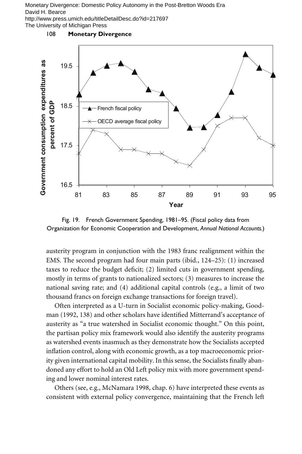

Fig. 19. French Government Spending, 1981–95. (Fiscal policy data from Organization for Economic Cooperation and Development, *Annual National Accounts.*)

austerity program in conjunction with the 1983 franc realignment within the EMS. The second program had four main parts (ibid., 124–25): (1) increased taxes to reduce the budget deficit;  $(2)$  limited cuts in government spending, mostly in terms of grants to nationalized sectors; (3) measures to increase the national saving rate; and (4) additional capital controls (e.g., a limit of two thousand francs on foreign exchange transactions for foreign travel).

Often interpreted as a U-turn in Socialist economic policy-making, Goodman (1992, 138) and other scholars have identified Mitterrand's acceptance of austerity as "a true watershed in Socialist economic thought." On this point, the partisan policy mix framework would also identify the austerity programs as watershed events inasmuch as they demonstrate how the Socialists accepted inflation control, along with economic growth, as a top macroeconomic priority given international capital mobility. In this sense, the Socialists finally abandoned any effort to hold an Old Left policy mix with more government spending and lower nominal interest rates.

Others (see, e.g., McNamara 1998, chap. 6) have interpreted these events as consistent with external policy convergence, maintaining that the French left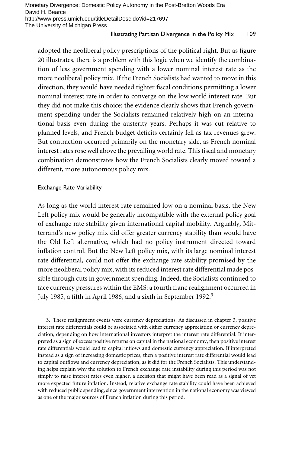adopted the neoliberal policy prescriptions of the political right. But as figure 20 illustrates, there is a problem with this logic when we identify the combination of less government spending with a lower nominal interest rate as the more neoliberal policy mix. If the French Socialists had wanted to move in this direction, they would have needed tighter fiscal conditions permitting a lower nominal interest rate in order to converge on the low world interest rate. But they did not make this choice: the evidence clearly shows that French government spending under the Socialists remained relatively high on an international basis even during the austerity years. Perhaps it was cut relative to planned levels, and French budget deficits certainly fell as tax revenues grew. But contraction occurred primarily on the monetary side, as French nominal interest rates rose well above the prevailing world rate. This fiscal and monetary combination demonstrates how the French Socialists clearly moved toward a different, more autonomous policy mix.

#### Exchange Rate Variability

As long as the world interest rate remained low on a nominal basis, the New Left policy mix would be generally incompatible with the external policy goal of exchange rate stability given international capital mobility. Arguably, Mitterrand's new policy mix did offer greater currency stability than would have the Old Left alternative, which had no policy instrument directed toward inflation control. But the New Left policy mix, with its large nominal interest rate differential, could not offer the exchange rate stability promised by the more neoliberal policy mix, with its reduced interest rate differential made possible through cuts in government spending. Indeed, the Socialists continued to face currency pressures within the EMS: a fourth franc realignment occurred in July 1985, a fifth in April 1986, and a sixth in September 1992.<sup>3</sup>

3. These realignment events were currency depreciations. As discussed in chapter 3, positive interest rate differentials could be associated with either currency appreciation or currency depreciation, depending on how international investors interpret the interest rate differential. If interpreted as a sign of excess positive returns on capital in the national economy, then positive interest rate differentials would lead to capital inflows and domestic currency appreciation. If interpreted instead as a sign of increasing domestic prices, then a positive interest rate differential would lead to capital outflows and currency depreciation, as it did for the French Socialists. This understanding helps explain why the solution to French exchange rate instability during this period was not simply to raise interest rates even higher, a decision that might have been read as a signal of yet more expected future inflation. Instead, relative exchange rate stability could have been achieved with reduced public spending, since government intervention in the national economy was viewed as one of the major sources of French inflation during this period.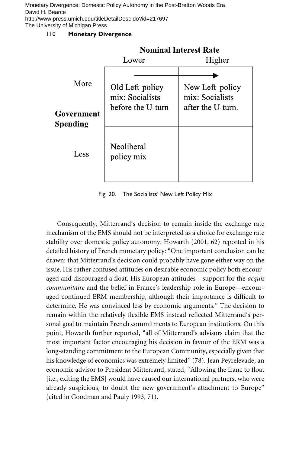# 110 **Monetary Divergence**

|                                | <b>Nominal Interest Rate</b>                            |                                                         |  |
|--------------------------------|---------------------------------------------------------|---------------------------------------------------------|--|
|                                | Lower                                                   | Higher                                                  |  |
| More<br>Government<br>Spending | Old Left policy<br>mix: Socialists<br>before the U-turn | New Left policy<br>mix: Socialists<br>after the U-turn. |  |
| Less                           | Neoliberal<br>policy mix                                |                                                         |  |

Fig. 20. The Socialists' New Left Policy Mix

Consequently, Mitterrand's decision to remain inside the exchange rate mechanism of the EMS should not be interpreted as a choice for exchange rate stability over domestic policy autonomy. Howarth (2001, 62) reported in his detailed history of French monetary policy: "One important conclusion can be drawn: that Mitterrand's decision could probably have gone either way on the issue. His rather confused attitudes on desirable economic policy both encouraged and discouraged a float. His European attitudes—support for the *acquis communitaire* and the belief in France's leadership role in Europe—encouraged continued ERM membership, although their importance is difficult to determine. He was convinced less by economic arguments." The decision to remain within the relatively flexible EMS instead reflected Mitterrand's personal goal to maintain French commitments to European institutions. On this point, Howarth further reported, "all of Mitterrand's advisors claim that the most important factor encouraging his decision in favour of the ERM was a long-standing commitment to the European Community, especially given that his knowledge of economics was extremely limited" (78). Jean Peyrelevade, an economic advisor to President Mitterrand, stated, "Allowing the franc to float [i.e., exiting the EMS] would have caused our international partners, who were already suspicious, to doubt the new government's attachment to Europe" (cited in Goodman and Pauly 1993, 71).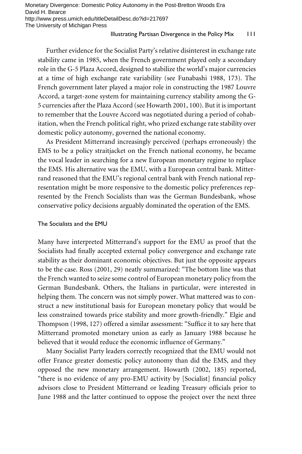Further evidence for the Socialist Party's relative disinterest in exchange rate stability came in 1985, when the French government played only a secondary role in the G-5 Plaza Accord, designed to stabilize the world's major currencies at a time of high exchange rate variability (see Funabashi 1988, 173). The French government later played a major role in constructing the 1987 Louvre Accord, a target-zone system for maintaining currency stability among the G-5 currencies after the Plaza Accord (see Howarth 2001, 100). But it is important to remember that the Louvre Accord was negotiated during a period of cohabitation, when the French political right, who prized exchange rate stability over domestic policy autonomy, governed the national economy.

As President Mitterrand increasingly perceived (perhaps erroneously) the EMS to be a policy straitjacket on the French national economy, he became the vocal leader in searching for a new European monetary regime to replace the EMS. His alternative was the EMU, with a European central bank. Mitterrand reasoned that the EMU's regional central bank with French national representation might be more responsive to the domestic policy preferences represented by the French Socialists than was the German Bundesbank, whose conservative policy decisions arguably dominated the operation of the EMS.

#### The Socialists and the EMU

Many have interpreted Mitterrand's support for the EMU as proof that the Socialists had finally accepted external policy convergence and exchange rate stability as their dominant economic objectives. But just the opposite appears to be the case. Ross (2001, 29) neatly summarized: "The bottom line was that the French wanted to seize some control of European monetary policy from the German Bundesbank. Others, the Italians in particular, were interested in helping them. The concern was not simply power. What mattered was to construct a new institutional basis for European monetary policy that would be less constrained towards price stability and more growth-friendly." Elgie and Thompson (1998, 127) offered a similar assessment: "Suffice it to say here that Mitterrand promoted monetary union as early as January 1988 because he believed that it would reduce the economic influence of Germany."

Many Socialist Party leaders correctly recognized that the EMU would not offer France greater domestic policy autonomy than did the EMS, and they opposed the new monetary arrangement. Howarth (2002, 185) reported, "there is no evidence of any pro-EMU activity by [Socialist] financial policy advisors close to President Mitterrand or leading Treasury officials prior to June 1988 and the latter continued to oppose the project over the next three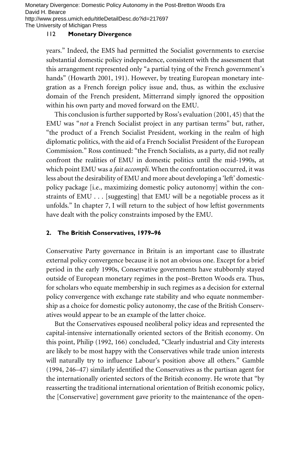# 112 **Monetary Divergence**

years." Indeed, the EMS had permitted the Socialist governments to exercise substantial domestic policy independence, consistent with the assessment that this arrangement represented only "a partial tying of the French government's hands" (Howarth 2001, 191). However, by treating European monetary integration as a French foreign policy issue and, thus, as within the exclusive domain of the French president, Mitterrand simply ignored the opposition within his own party and moved forward on the EMU.

This conclusion is further supported by Ross's evaluation (2001, 45) that the EMU was "*not* a French Socialist project in any partisan terms" but, rather, "the product of a French Socialist President, working in the realm of high diplomatic politics, with the aid of a French Socialist President of the European Commission." Ross continued: "the French Socialists, as a party, did not really confront the realities of EMU in domestic politics until the mid-1990s, at which point EMU was a *fait accompli.* When the confrontation occurred, it was less about the desirability of EMU and more about developing a 'left' domesticpolicy package [i.e., maximizing domestic policy autonomy] within the constraints of EMU . . . [suggesting] that EMU will be a negotiable process as it unfolds." In chapter 7, I will return to the subject of how leftist governments have dealt with the policy constraints imposed by the EMU.

## **2. The British Conservatives, 1979–96**

Conservative Party governance in Britain is an important case to illustrate external policy convergence because it is not an obvious one. Except for a brief period in the early 1990s, Conservative governments have stubbornly stayed outside of European monetary regimes in the post–Bretton Woods era. Thus, for scholars who equate membership in such regimes as a decision for external policy convergence with exchange rate stability and who equate nonmembership as a choice for domestic policy autonomy, the case of the British Conservatives would appear to be an example of the latter choice.

But the Conservatives espoused neoliberal policy ideas and represented the capital-intensive internationally oriented sectors of the British economy. On this point, Philip (1992, 166) concluded, "Clearly industrial and City interests are likely to be most happy with the Conservatives while trade union interests will naturally try to influence Labour's position above all others." Gamble  $(1994, 246-47)$  similarly identified the Conservatives as the partisan agent for the internationally oriented sectors of the British economy. He wrote that "by reasserting the traditional international orientation of British economic policy, the [Conservative] government gave priority to the maintenance of the open-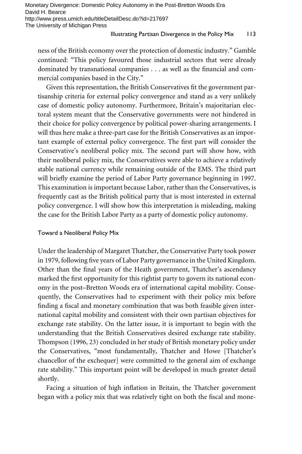ness of the British economy over the protection of domestic industry." Gamble continued: "This policy favoured those industrial sectors that were already dominated by transnational companies . . . as well as the financial and commercial companies based in the City."

Given this representation, the British Conservatives fit the government partisanship criteria for external policy convergence and stand as a very unlikely case of domestic policy autonomy. Furthermore, Britain's majoritarian electoral system meant that the Conservative governments were not hindered in their choice for policy convergence by political power-sharing arrangements. I will thus here make a three-part case for the British Conservatives as an important example of external policy convergence. The first part will consider the Conservative's neoliberal policy mix. The second part will show how, with their neoliberal policy mix, the Conservatives were able to achieve a relatively stable national currency while remaining outside of the EMS. The third part will briefly examine the period of Labor Party governance beginning in 1997. This examination is important because Labor, rather than the Conservatives, is frequently cast as the British political party that is most interested in external policy convergence. I will show how this interpretation is misleading, making the case for the British Labor Party as a party of domestic policy autonomy.

#### Toward a Neoliberal Policy Mix

Under the leadership of Margaret Thatcher, the Conservative Party took power in 1979, following five years of Labor Party governance in the United Kingdom. Other than the final years of the Heath government, Thatcher's ascendancy marked the first opportunity for this rightist party to govern its national economy in the post–Bretton Woods era of international capital mobility. Consequently, the Conservatives had to experiment with their policy mix before finding a fiscal and monetary combination that was both feasible given international capital mobility and consistent with their own partisan objectives for exchange rate stability. On the latter issue, it is important to begin with the understanding that the British Conservatives desired exchange rate stability. Thompson (1996, 23) concluded in her study of British monetary policy under the Conservatives, "most fundamentally, Thatcher and Howe [Thatcher's chancellor of the exchequer] were committed to the general aim of exchange rate stability." This important point will be developed in much greater detail shortly.

Facing a situation of high inflation in Britain, the Thatcher government began with a policy mix that was relatively tight on both the fiscal and mone-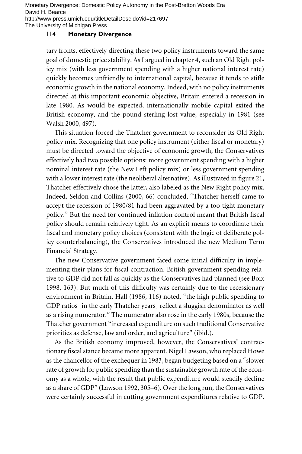# 114 **Monetary Divergence**

tary fronts, effectively directing these two policy instruments toward the same goal of domestic price stability. As I argued in chapter 4, such an Old Right policy mix (with less government spending with a higher national interest rate) quickly becomes unfriendly to international capital, because it tends to stifle economic growth in the national economy. Indeed, with no policy instruments directed at this important economic objective, Britain entered a recession in late 1980. As would be expected, internationally mobile capital exited the British economy, and the pound sterling lost value, especially in 1981 (see Walsh 2000, 497).

This situation forced the Thatcher government to reconsider its Old Right policy mix. Recognizing that one policy instrument (either fiscal or monetary) must be directed toward the objective of economic growth, the Conservatives effectively had two possible options: more government spending with a higher nominal interest rate (the New Left policy mix) or less government spending with a lower interest rate (the neoliberal alternative). As illustrated in figure 21, Thatcher effectively chose the latter, also labeled as the New Right policy mix. Indeed, Seldon and Collins (2000, 66) concluded, "Thatcher herself came to accept the recession of 1980/81 had been aggravated by a too tight monetary policy." But the need for continued inflation control meant that British fiscal policy should remain relatively tight. As an explicit means to coordinate their fiscal and monetary policy choices (consistent with the logic of deliberate policy counterbalancing), the Conservatives introduced the new Medium Term Financial Strategy.

The new Conservative government faced some initial difficulty in implementing their plans for fiscal contraction. British government spending relative to GDP did not fall as quickly as the Conservatives had planned (see Boix 1998, 163). But much of this difficulty was certainly due to the recessionary environment in Britain. Hall (1986, 116) noted, "the high public spending to GDP ratios [in the early Thatcher years] reflect a sluggish denominator as well as a rising numerator." The numerator also rose in the early 1980s, because the Thatcher government "increased expenditure on such traditional Conservative priorities as defense, law and order, and agriculture" (ibid.).

As the British economy improved, however, the Conservatives' contractionary fiscal stance became more apparent. Nigel Lawson, who replaced Howe as the chancellor of the exchequer in 1983, began budgeting based on a "slower rate of growth for public spending than the sustainable growth rate of the economy as a whole, with the result that public expenditure would steadily decline as a share of GDP" (Lawson 1992, 305–6). Over the long run, the Conservatives were certainly successful in cutting government expenditures relative to GDP.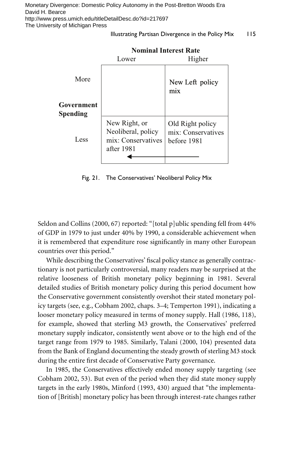Illustrating Partisan Divergence in the Policy Mix 115

|                        | nai mitti ost itatt                                                     |                                                       |  |
|------------------------|-------------------------------------------------------------------------|-------------------------------------------------------|--|
|                        | Lower                                                                   | Higher                                                |  |
| More                   |                                                                         | New Left policy<br>mix                                |  |
| Government<br>Spending |                                                                         |                                                       |  |
| Less                   | New Right, or<br>Neoliberal, policy<br>mix: Conservatives<br>after 1981 | Old Right policy<br>mix: Conservatives<br>before 1981 |  |

## **Nominal Interest Rate**

Fig. 21. The Conservatives' Neoliberal Policy Mix

Seldon and Collins (2000, 67) reported: "[total p]ublic spending fell from 44% of GDP in 1979 to just under 40% by 1990, a considerable achievement when it is remembered that expenditure rose significantly in many other European countries over this period."

While describing the Conservatives' fiscal policy stance as generally contractionary is not particularly controversial, many readers may be surprised at the relative looseness of British monetary policy beginning in 1981. Several detailed studies of British monetary policy during this period document how the Conservative government consistently overshot their stated monetary policy targets (see, e.g., Cobham 2002, chaps. 3–4; Temperton 1991), indicating a looser monetary policy measured in terms of money supply. Hall (1986, 118), for example, showed that sterling M3 growth, the Conservatives' preferred monetary supply indicator, consistently went above or to the high end of the target range from 1979 to 1985. Similarly, Talani (2000, 104) presented data from the Bank of England documenting the steady growth of sterling M3 stock during the entire first decade of Conservative Party governance.

In 1985, the Conservatives effectively ended money supply targeting (see Cobham 2002, 53). But even of the period when they did state money supply targets in the early 1980s, Minford (1993, 430) argued that "the implementation of [British] monetary policy has been through interest-rate changes rather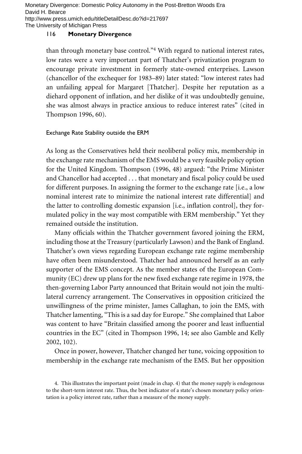# 116 **Monetary Divergence**

than through monetary base control."4 With regard to national interest rates, low rates were a very important part of Thatcher's privatization program to encourage private investment in formerly state-owned enterprises. Lawson (chancellor of the exchequer for 1983–89) later stated: "low interest rates had an unfailing appeal for Margaret [Thatcher]. Despite her reputation as a diehard opponent of inflation, and her dislike of it was undoubtedly genuine, she was almost always in practice anxious to reduce interest rates" (cited in Thompson 1996, 60).

## Exchange Rate Stability outside the ERM

As long as the Conservatives held their neoliberal policy mix, membership in the exchange rate mechanism of the EMS would be a very feasible policy option for the United Kingdom. Thompson (1996, 48) argued: "the Prime Minister and Chancellor had accepted . . . that monetary and fiscal policy could be used for different purposes. In assigning the former to the exchange rate [i.e., a low nominal interest rate to minimize the national interest rate differential] and the latter to controlling domestic expansion [i.e., inflation control], they formulated policy in the way most compatible with ERM membership." Yet they remained outside the institution.

Many officials within the Thatcher government favored joining the ERM, including those at the Treasury (particularly Lawson) and the Bank of England. Thatcher's own views regarding European exchange rate regime membership have often been misunderstood. Thatcher had announced herself as an early supporter of the EMS concept. As the member states of the European Community (EC) drew up plans for the new fixed exchange rate regime in 1978, the then-governing Labor Party announced that Britain would not join the multilateral currency arrangement. The Conservatives in opposition criticized the unwillingness of the prime minister, James Callaghan, to join the EMS, with Thatcher lamenting, "This is a sad day for Europe." She complained that Labor was content to have "Britain classified among the poorer and least influential countries in the EC" (cited in Thompson 1996, 14; see also Gamble and Kelly 2002, 102).

Once in power, however, Thatcher changed her tune, voicing opposition to membership in the exchange rate mechanism of the EMS. But her opposition

<sup>4.</sup> This illustrates the important point (made in chap. 4) that the money supply is endogenous to the short-term interest rate. Thus, the best indicator of a state's chosen monetary policy orientation is a policy interest rate, rather than a measure of the money supply.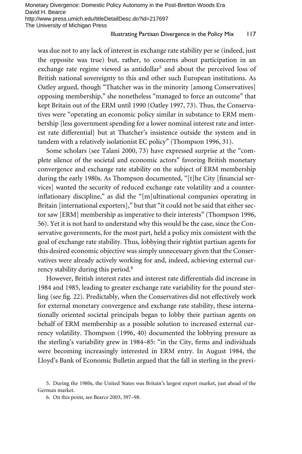was due not to any lack of interest in exchange rate stability per se (indeed, just the opposite was true) but, rather, to concerns about participation in an exchange rate regime viewed as antidollar<sup>5</sup> and about the perceived loss of British national sovereignty to this and other such European institutions. As Oatley argued, though "Thatcher was in the minority [among Conservatives] opposing membership," she nonetheless "managed to force an outcome" that kept Britain out of the ERM until 1990 (Oatley 1997, 73). Thus, the Conservatives were "operating an economic policy similar in substance to ERM membership [less government spending for a lower nominal interest rate and interest rate differential] but at Thatcher's insistence outside the system and in tandem with a relatively isolationist EC policy" (Thompson 1996, 31).

Some scholars (see Talani 2000, 73) have expressed surprise at the "complete silence of the societal and economic actors" favoring British monetary convergence and exchange rate stability on the subject of ERM membership during the early 1980s. As Thompson documented, "[t]he City [financial services] wanted the security of reduced exchange rate volatility and a counterinflationary discipline," as did the "[m]ultinational companies operating in Britain [international exporters]," but that "it could not be said that either sector saw [ERM] membership as imperative to their interests" (Thompson 1996, 56). Yet it is not hard to understand why this would be the case, since the Conservative governments, for the most part, held a policy mix consistent with the goal of exchange rate stability. Thus, lobbying their rightist partisan agents for this desired economic objective was simply unnecessary given that the Conservatives were already actively working for and, indeed, achieving external currency stability during this period.6

However, British interest rates and interest rate differentials did increase in 1984 and 1985, leading to greater exchange rate variability for the pound sterling (see fig. 22). Predictably, when the Conservatives did not effectively work for external monetary convergence and exchange rate stability, these internationally oriented societal principals began to lobby their partisan agents on behalf of ERM membership as a possible solution to increased external currency volatility. Thompson (1996, 40) documented the lobbying pressure as the sterling's variability grew in 1984–85: "in the City, firms and individuals were becoming increasingly interested in ERM entry. In August 1984, the Lloyd's Bank of Economic Bulletin argued that the fall in sterling in the previ-

<sup>5.</sup> During the 1980s, the United States was Britain's largest export market, just ahead of the German market.

<sup>6.</sup> On this point, see Bearce 2003, 397–98.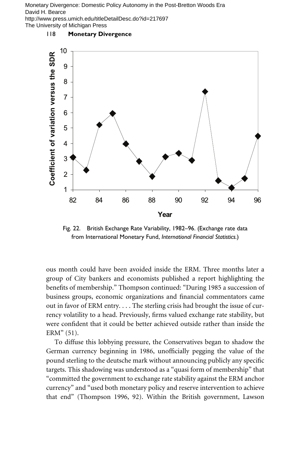## 118 **Monetary Divergence**



Fig. 22. British Exchange Rate Variability, 1982–96. (Exchange rate data from International Monetary Fund, *International Financial Statistics.*)

ous month could have been avoided inside the ERM. Three months later a group of City bankers and economists published a report highlighting the benefits of membership." Thompson continued: "During 1985 a succession of business groups, economic organizations and financial commentators came out in favor of ERM entry. . . . The sterling crisis had brought the issue of currency volatility to a head. Previously, firms valued exchange rate stability, but were confident that it could be better achieved outside rather than inside the ERM" (51).

To diffuse this lobbying pressure, the Conservatives began to shadow the German currency beginning in 1986, unofficially pegging the value of the pound sterling to the deutsche mark without announcing publicly any specific targets. This shadowing was understood as a "quasi form of membership" that "committed the government to exchange rate stability against the ERM anchor currency" and "used both monetary policy and reserve intervention to achieve that end" (Thompson 1996, 92). Within the British government, Lawson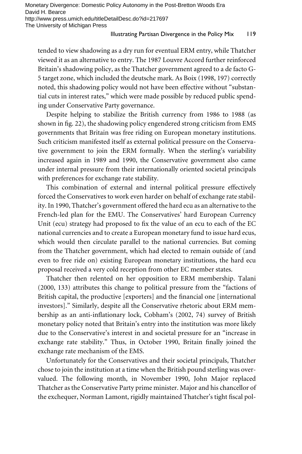tended to view shadowing as a dry run for eventual ERM entry, while Thatcher viewed it as an alternative to entry. The 1987 Louvre Accord further reinforced Britain's shadowing policy, as the Thatcher government agreed to a de facto G-5 target zone, which included the deutsche mark. As Boix (1998, 197) correctly noted, this shadowing policy would not have been effective without "substantial cuts in interest rates," which were made possible by reduced public spending under Conservative Party governance.

Despite helping to stabilize the British currency from 1986 to 1988 (as shown in fig. 22), the shadowing policy engendered strong criticism from EMS governments that Britain was free riding on European monetary institutions. Such criticism manifested itself as external political pressure on the Conservative government to join the ERM formally. When the sterling's variability increased again in 1989 and 1990, the Conservative government also came under internal pressure from their internationally oriented societal principals with preferences for exchange rate stability.

This combination of external and internal political pressure effectively forced the Conservatives to work even harder on behalf of exchange rate stability. In 1990, Thatcher's government offered the hard ecu as an alternative to the French-led plan for the EMU. The Conservatives' hard European Currency Unit (ecu) strategy had proposed to fix the value of an ecu to each of the EC national currencies and to create a European monetary fund to issue hard ecus, which would then circulate parallel to the national currencies. But coming from the Thatcher government, which had elected to remain outside of (and even to free ride on) existing European monetary institutions, the hard ecu proposal received a very cold reception from other EC member states.

Thatcher then relented on her opposition to ERM membership. Talani (2000, 133) attributes this change to political pressure from the "factions of British capital, the productive [exporters] and the financial one [international investors]." Similarly, despite all the Conservative rhetoric about ERM membership as an anti-inflationary lock, Cobham's (2002, 74) survey of British monetary policy noted that Britain's entry into the institution was more likely due to the Conservative's interest in and societal pressure for an "increase in exchange rate stability." Thus, in October 1990, Britain finally joined the exchange rate mechanism of the EMS.

Unfortunately for the Conservatives and their societal principals, Thatcher chose to join the institution at a time when the British pound sterling was overvalued. The following month, in November 1990, John Major replaced Thatcher as the Conservative Party prime minister. Major and his chancellor of the exchequer, Norman Lamont, rigidly maintained Thatcher's tight fiscal pol-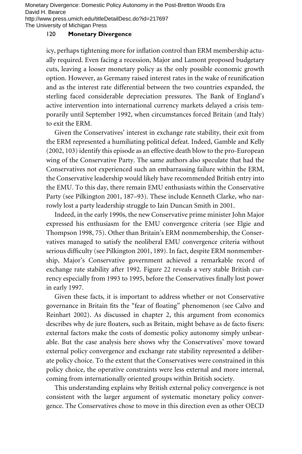# 120 **Monetary Divergence**

icy, perhaps tightening more for inflation control than ERM membership actually required. Even facing a recession, Major and Lamont proposed budgetary cuts, leaving a looser monetary policy as the only possible economic growth option. However, as Germany raised interest rates in the wake of reunification and as the interest rate differential between the two countries expanded, the sterling faced considerable depreciation pressures. The Bank of England's active intervention into international currency markets delayed a crisis temporarily until September 1992, when circumstances forced Britain (and Italy) to exit the ERM.

Given the Conservatives' interest in exchange rate stability, their exit from the ERM represented a humiliating political defeat. Indeed, Gamble and Kelly (2002, 103) identify this episode as an effective death blow to the pro-European wing of the Conservative Party. The same authors also speculate that had the Conservatives not experienced such an embarrassing failure within the ERM, the Conservative leadership would likely have recommended British entry into the EMU. To this day, there remain EMU enthusiasts within the Conservative Party (see Pilkington 2001, 187–93). These include Kenneth Clarke, who narrowly lost a party leadership struggle to Iain Duncan Smith in 2001.

Indeed, in the early 1990s, the new Conservative prime minister John Major expressed his enthusiasm for the EMU convergence criteria (see Elgie and Thompson 1998, 75). Other than Britain's ERM nonmembership, the Conservatives managed to satisfy the neoliberal EMU convergence criteria without serious difficulty (see Pilkington 2001, 189). In fact, despite ERM nonmembership, Major's Conservative government achieved a remarkable record of exchange rate stability after 1992. Figure 22 reveals a very stable British currency especially from 1993 to 1995, before the Conservatives finally lost power in early 1997.

Given these facts, it is important to address whether or not Conservative governance in Britain fits the "fear of floating" phenomenon (see Calvo and Reinhart 2002). As discussed in chapter 2, this argument from economics describes why de jure floaters, such as Britain, might behave as de facto fixers: external factors make the costs of domestic policy autonomy simply unbearable. But the case analysis here shows why the Conservatives' move toward external policy convergence and exchange rate stability represented a deliberate policy choice. To the extent that the Conservatives were constrained in this policy choice, the operative constraints were less external and more internal, coming from internationally oriented groups within British society.

This understanding explains why British external policy convergence is not consistent with the larger argument of systematic monetary policy convergence. The Conservatives chose to move in this direction even as other OECD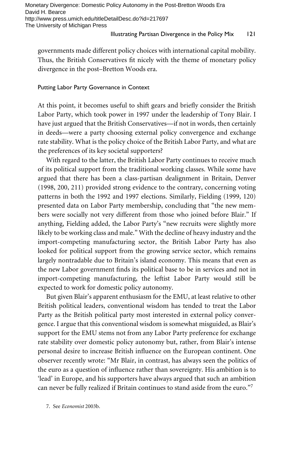governments made different policy choices with international capital mobility. Thus, the British Conservatives fit nicely with the theme of monetary policy divergence in the post–Bretton Woods era.

#### Putting Labor Party Governance in Context

At this point, it becomes useful to shift gears and briefly consider the British Labor Party, which took power in 1997 under the leadership of Tony Blair. I have just argued that the British Conservatives—if not in words, then certainly in deeds—were a party choosing external policy convergence and exchange rate stability. What is the policy choice of the British Labor Party, and what are the preferences of its key societal supporters?

With regard to the latter, the British Labor Party continues to receive much of its political support from the traditional working classes. While some have argued that there has been a class-partisan dealignment in Britain, Denver (1998, 200, 211) provided strong evidence to the contrary, concerning voting patterns in both the 1992 and 1997 elections. Similarly, Fielding (1999, 120) presented data on Labor Party membership, concluding that "the new members were socially not very different from those who joined before Blair." If anything, Fielding added, the Labor Party's "new recruits were slightly more likely to be working class and male." With the decline of heavy industry and the import-competing manufacturing sector, the British Labor Party has also looked for political support from the growing service sector, which remains largely nontradable due to Britain's island economy. This means that even as the new Labor government finds its political base to be in services and not in import-competing manufacturing, the leftist Labor Party would still be expected to work for domestic policy autonomy.

But given Blair's apparent enthusiasm for the EMU, at least relative to other British political leaders, conventional wisdom has tended to treat the Labor Party as the British political party most interested in external policy convergence. I argue that this conventional wisdom is somewhat misguided, as Blair's support for the EMU stems not from any Labor Party preference for exchange rate stability over domestic policy autonomy but, rather, from Blair's intense personal desire to increase British influence on the European continent. One observer recently wrote: "Mr Blair, in contrast, has always seen the politics of the euro as a question of influence rather than sovereignty. His ambition is to 'lead' in Europe, and his supporters have always argued that such an ambition can never be fully realized if Britain continues to stand aside from the euro."<sup>7</sup>

7. See *Economist* 2003b.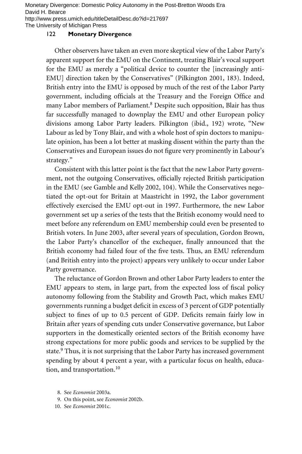# 122 **Monetary Divergence**

Other observers have taken an even more skeptical view of the Labor Party's apparent support for the EMU on the Continent, treating Blair's vocal support for the EMU as merely a "political device to counter the [increasingly anti-EMU] direction taken by the Conservatives" (Pilkington 2001, 183). Indeed, British entry into the EMU is opposed by much of the rest of the Labor Party government, including officials at the Treasury and the Foreign Office and many Labor members of Parliament.<sup>8</sup> Despite such opposition, Blair has thus far successfully managed to downplay the EMU and other European policy divisions among Labor Party leaders. Pilkington (ibid., 192) wrote, "New Labour as led by Tony Blair, and with a whole host of spin doctors to manipulate opinion, has been a lot better at masking dissent within the party than the Conservatives and European issues do not figure very prominently in Labour's strategy."

Consistent with this latter point is the fact that the new Labor Party government, not the outgoing Conservatives, officially rejected British participation in the EMU (see Gamble and Kelly 2002, 104). While the Conservatives negotiated the opt-out for Britain at Maastricht in 1992, the Labor government effectively exercised the EMU opt-out in 1997. Furthermore, the new Labor government set up a series of the tests that the British economy would need to meet before any referendum on EMU membership could even be presented to British voters. In June 2003, after several years of speculation, Gordon Brown, the Labor Party's chancellor of the exchequer, finally announced that the British economy had failed four of the five tests. Thus, an EMU referendum (and British entry into the project) appears very unlikely to occur under Labor Party governance.

The reluctance of Gordon Brown and other Labor Party leaders to enter the EMU appears to stem, in large part, from the expected loss of fiscal policy autonomy following from the Stability and Growth Pact, which makes EMU governments running a budget deficit in excess of 3 percent of GDP potentially subject to fines of up to 0.5 percent of GDP. Deficits remain fairly low in Britain after years of spending cuts under Conservative governance, but Labor supporters in the domestically oriented sectors of the British economy have strong expectations for more public goods and services to be supplied by the state.<sup>9</sup> Thus, it is not surprising that the Labor Party has increased government spending by about 4 percent a year, with a particular focus on health, education, and transportation.<sup>10</sup>

- 8. See *Economist* 2003a.
- 9. On this point, see *Economist* 2002b.
- 10. See *Economist* 2001c.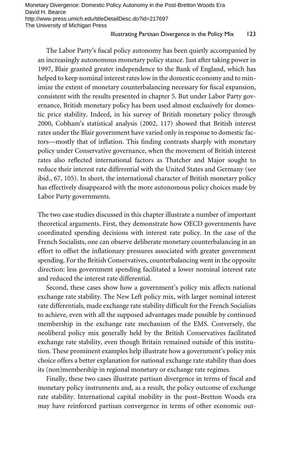The Labor Party's fiscal policy autonomy has been quietly accompanied by an increasingly autonomous monetary policy stance. Just after taking power in 1997, Blair granted greater independence to the Bank of England, which has helped to keep nominal interest rates low in the domestic economy and to minimize the extent of monetary counterbalancing necessary for fiscal expansion, consistent with the results presented in chapter 5. But under Labor Party governance, British monetary policy has been used almost exclusively for domestic price stability. Indeed, in his survey of British monetary policy through 2000, Cobham's statistical analysis (2002, 117) showed that British interest rates under the Blair government have varied only in response to domestic factors—mostly that of inflation. This finding contrasts sharply with monetary policy under Conservative governance, when the movement of British interest rates also reflected international factors as Thatcher and Major sought to reduce their interest rate differential with the United States and Germany (see ibid., 67, 105). In short, the international character of British monetary policy has effectively disappeared with the more autonomous policy choices made by Labor Party governments.

The two case studies discussed in this chapter illustrate a number of important theoretical arguments. First, they demonstrate how OECD governments have coordinated spending decisions with interest rate policy. In the case of the French Socialists, one can observe deliberate monetary counterbalancing in an effort to offset the inflationary pressures associated with greater government spending. For the British Conservatives, counterbalancing went in the opposite direction: less government spending facilitated a lower nominal interest rate and reduced the interest rate differential.

Second, these cases show how a government's policy mix affects national exchange rate stability. The New Left policy mix, with larger nominal interest rate differentials, made exchange rate stability difficult for the French Socialists to achieve, even with all the supposed advantages made possible by continued membership in the exchange rate mechanism of the EMS. Conversely, the neoliberal policy mix generally held by the British Conservatives facilitated exchange rate stability, even though Britain remained outside of this institution. These prominent examples help illustrate how a government's policy mix choice offers a better explanation for national exchange rate stability than does its (non)membership in regional monetary or exchange rate regimes.

Finally, these two cases illustrate partisan divergence in terms of fiscal and monetary policy instruments and, as a result, the policy outcome of exchange rate stability. International capital mobility in the post–Bretton Woods era may have reinforced partisan convergence in terms of other economic out-